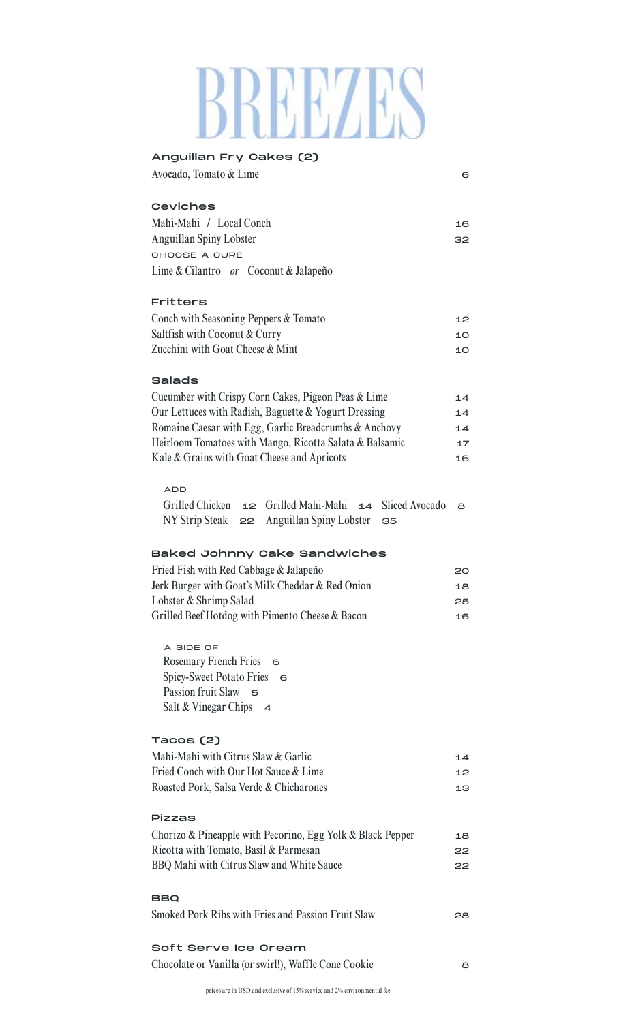# BREEZES

| Anguillan Fry Cakes (2)                                              |     |  |  |
|----------------------------------------------------------------------|-----|--|--|
| Avocado, Tomato & Lime                                               | 6   |  |  |
| <b>Ceviches</b>                                                      |     |  |  |
| Mahi-Mahi / Local Conch                                              |     |  |  |
| Anguillan Spiny Lobster                                              |     |  |  |
| CHOOSE A CURE                                                        |     |  |  |
| Lime & Cilantro or Coconut & Jalapeño                                |     |  |  |
| <b>Fritters</b>                                                      |     |  |  |
| Conch with Seasoning Peppers & Tomato                                |     |  |  |
| Saltfish with Coconut & Curry                                        |     |  |  |
| Zucchini with Goat Cheese & Mint                                     |     |  |  |
| <b>Salads</b>                                                        |     |  |  |
| Cucumber with Crispy Corn Cakes, Pigeon Peas & Lime                  | 14  |  |  |
| Our Lettuces with Radish, Baguette & Yogurt Dressing                 | 14  |  |  |
| Romaine Caesar with Egg, Garlic Breadcrumbs & Anchovy                | 14  |  |  |
| Heirloom Tomatoes with Mango, Ricotta Salata & Balsamic              | 17  |  |  |
| Kale & Grains with Goat Cheese and Apricots                          | 16  |  |  |
| <b>ADD</b>                                                           |     |  |  |
| Grilled Chicken $12$ Grilled Mahi-Mahi $14$<br><b>Sliced Avocado</b> | 8   |  |  |
| $NY$ Strip Steak $\geq 2$ Anguillan Spiny Lobster<br>35              |     |  |  |
| <b>Baked Johnny Cake Sandwiches</b>                                  |     |  |  |
| Fried Fish with Red Cabbage & Jalapeño                               | 20  |  |  |
| Jerk Burger with Goat's Milk Cheddar & Red Onion                     | 18  |  |  |
| Lobster & Shrimp Salad                                               | 25  |  |  |
| Grilled Beef Hotdog with Pimento Cheese & Bacon                      | 16  |  |  |
| A SIDE OF                                                            |     |  |  |
| Rosemary French Fries 6                                              |     |  |  |
| <b>Spicy-Sweet Potato Fries</b><br>- 6                               |     |  |  |
| Passion fruit Slaw 5                                                 |     |  |  |
| Salt & Vinegar Chips $\rightarrow$                                   |     |  |  |
| Tacos (2)                                                            |     |  |  |
| Mahi-Mahi with Citrus Slaw & Garlic                                  | 14  |  |  |
| Fried Conch with Our Hot Sauce & Lime                                | 12  |  |  |
| Roasted Pork, Salsa Verde & Chicharones                              | 13  |  |  |
| Pizzas                                                               |     |  |  |
| Chorizo & Pineapple with Pecorino, Egg Yolk & Black Pepper           |     |  |  |
| Ricotta with Tomato, Basil & Parmesan                                | 18  |  |  |
| BBQ Mahi with Citrus Slaw and White Sauce                            | 22  |  |  |
|                                                                      | 22  |  |  |
| BBQ                                                                  |     |  |  |
| Smoked Pork Ribs with Fries and Passion Fruit Slaw                   | 28. |  |  |
| Soft Serve Ice Cream                                                 |     |  |  |
| Chocolate or Vanilla (or swirl!), Waffle Cone Cookie                 | 8   |  |  |